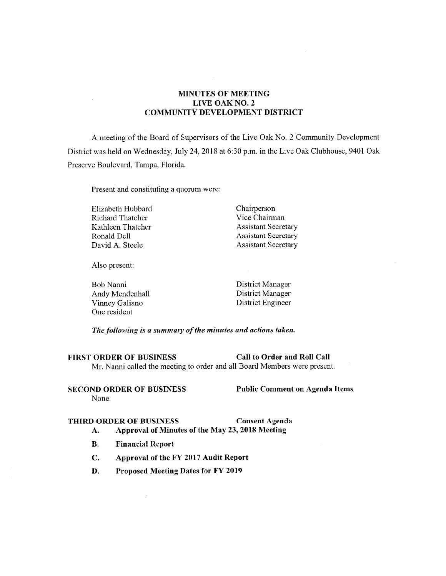# **MINUTES OF MEETING LIVE OAK NO. 2 COMMUNITY DEVELOPMENT DISTRICT**

A meeting of the Board of Supervisors of the Live Oak No. 2 Community Development District was held on Wednesday, July 24, 2018 at 6:30 p.m. in the Live Oak Clubhouse, 9401 Oak Preserve Boulevard, Tampa, Florida.

Present and constituting a quorum were:

Elizabeth Hubbard Richard Thatcher Kathleen Thatcher Ronald Dell David A. Steele

Chairperson Vice Chairman Assistant Secretary Assistant Secretary Assistant Secretary

Also present:

Bob Nanni Andy Mendenhall Vinney Galiano One resident

District Manager District Manager District Engineer

*The following is a summary ofthe minutes and actions taken.* 

**FIRST ORDER OF BUSINESS Call to Order and Roll Call**  Mr. Nanni called the meeting to order and all Board Members were present.

**SECOND ORDER OF BUSINESS Public Comment on Agenda Items**  None.

# **THIRD ORDER OF BUSINESS Consent Agenda**

- **A. Approval of Minutes of the May 23, 2018 Meeting**
- **B. Financial Report**

 $\ddot{\phantom{a}}$ 

- **C. Approval of the FY 2017 Audit Report**
- **D. Proposed Meeting Dates for FY 2019**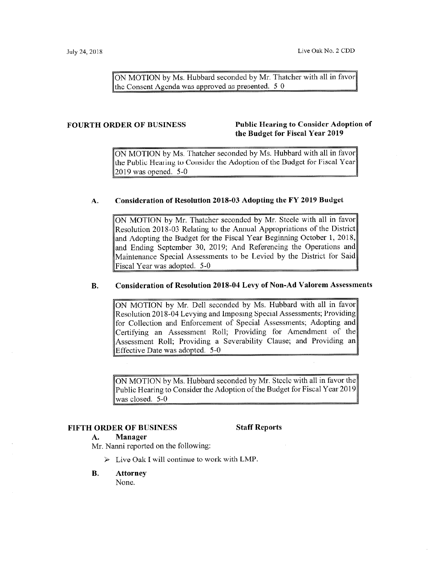ON MOTION by Ms. Hubbard seconded by Mr. Thatcher with all in favor the Consent Agenda was approved as presented.  $5-0$ 

# **FOURTH ORDER OF BUSINESS Public Hearing to Consider Adoption of the Budget for Fiscal Year 2019**

ON MOTION by Ms. Thatcher seconded by Ms. Hubbard with all in favor the Public Hearing to Consider the Adoption of the Budget for Fiscal Year 2019 was opened. 5-0

# **A. Consideration of Resolution 2018-03 Adopting the FY 2019 Budget**

ON MOTION by Mr. Thatcher seconded by Mr. Steele with all in favor Resolution 2018-03 Relating to the Annual Appropriations of the District and Adopting the Budget for the Fiscal Year Beginning October 1, 2018, and Ending September 30, 2019; And Referencing the Operations and Maintenance Special Assessments to be Levied by the District for Said Fiscal Year was adopted. 5-0

## **B. Consideration of Resolution 2018-04 Levy of Non-Ad Valorem Assessments**

ON MOTION by Mr. Dell seconded by Ms. Hubbard with all in favor Resolution 2018-04 Levying and Imposing Special Assessments; Providing for Collection and Enforcement of Special Assessments; Adopting and Certifying an Assessment Roll; Providing for Amendment of the Assessment Roll; Providing a Severability Clause; and Providing an Effective Date was adopted. 5-0

ON MOTION by Ms. Hubbard seconded by Mr. Steele with all in favor the Public Hearing to Consider the Adoption of the Budget for Fiscal Year 2019 was closed. 5-0

# **FIFTH ORDER OF BUSINESS Staff Reports**

# **A. Manager**

Mr. Nanni reported on the following:

- $\triangleright$  Live Oak I will continue to work with LMP.
- **B. Attorney**

None.